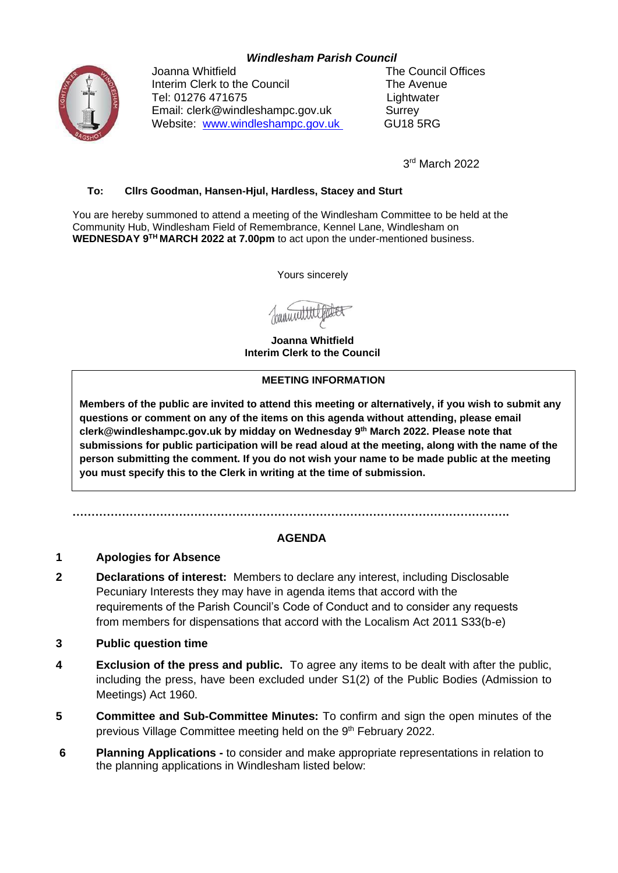## *Windlesham Parish Council*



Joanna Whitfield **The Council Offices** Interim Clerk to the Council The Avenue Tel: 01276 471675 Lightwater Email: clerk@windleshampc.gov.uk Surrey Website: [www.windleshampc.gov.uk](http://www.windleshampc.gov.uk/) GU18 5RG

3 rd March 2022

### **To: Cllrs Goodman, Hansen-Hjul, Hardless, Stacey and Sturt**

You are hereby summoned to attend a meeting of the Windlesham Committee to be held at the Community Hub, Windlesham Field of Remembrance, Kennel Lane, Windlesham on **WEDNESDAY 9 TH MARCH 2022 at 7.00pm** to act upon the under-mentioned business.

Yours sincerely

bannin

**Joanna Whitfield Interim Clerk to the Council**

#### **MEETING INFORMATION**

**Members of the public are invited to attend this meeting or alternatively, if you wish to submit any questions or comment on any of the items on this agenda without attending, please email clerk@windleshampc.gov.uk by midday on Wednesday 9 th March 2022. Please note that submissions for public participation will be read aloud at the meeting, along with the name of the person submitting the comment. If you do not wish your name to be made public at the meeting you must specify this to the Clerk in writing at the time of submission.**

**…………………………………………………………………………………………………….**

# **AGENDA**

### **1 Apologies for Absence**

- **2 Declarations of interest:** Members to declare any interest, including Disclosable Pecuniary Interests they may have in agenda items that accord with the requirements of the Parish Council's Code of Conduct and to consider any requests from members for dispensations that accord with the Localism Act 2011 S33(b-e)
- **3 Public question time**
- **4 Exclusion of the press and public.** To agree any items to be dealt with after the public, including the press, have been excluded under S1(2) of the Public Bodies (Admission to Meetings) Act 1960.
- **5 Committee and Sub-Committee Minutes:** To confirm and sign the open minutes of the previous Village Committee meeting held on the 9<sup>th</sup> February 2022.
- **6 Planning Applications -** to consider and make appropriate representations in relation to the planning applications in Windlesham listed below: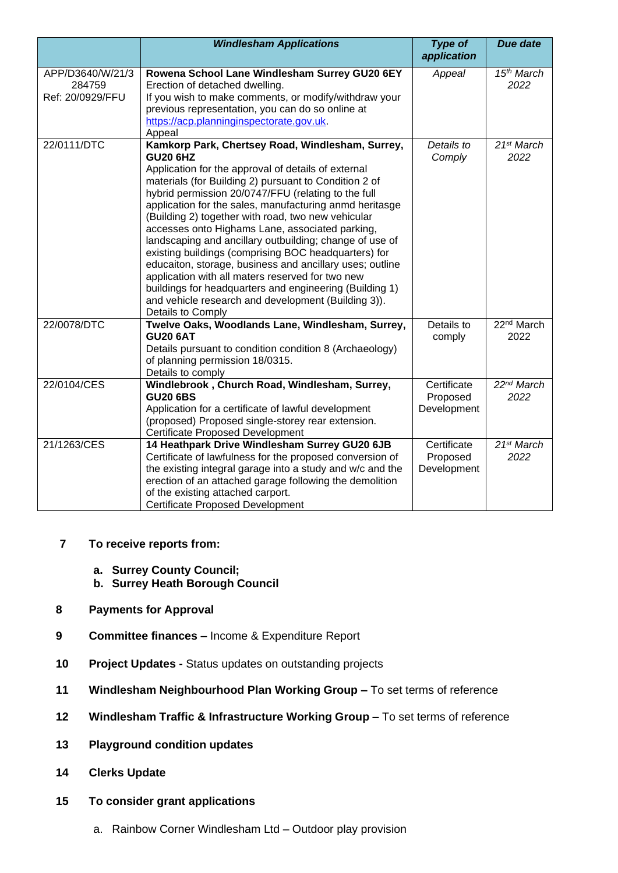|                  | <b>Windlesham Applications</b>                             | <b>Type of</b><br>application | <b>Due date</b>        |
|------------------|------------------------------------------------------------|-------------------------------|------------------------|
|                  |                                                            |                               |                        |
| APP/D3640/W/21/3 | Rowena School Lane Windlesham Surrey GU20 6EY              | Appeal                        | 15 <sup>th</sup> March |
| 284759           | Erection of detached dwelling.                             |                               | 2022                   |
| Ref: 20/0929/FFU | If you wish to make comments, or modify/withdraw your      |                               |                        |
|                  | previous representation, you can do so online at           |                               |                        |
|                  | https://acp.planninginspectorate.gov.uk.                   |                               |                        |
| 22/0111/DTC      | Appeal<br>Kamkorp Park, Chertsey Road, Windlesham, Surrey, | Details to                    | 21 <sup>st</sup> March |
|                  | <b>GU20 6HZ</b>                                            | Comply                        | 2022                   |
|                  | Application for the approval of details of external        |                               |                        |
|                  | materials (for Building 2) pursuant to Condition 2 of      |                               |                        |
|                  | hybrid permission 20/0747/FFU (relating to the full        |                               |                        |
|                  | application for the sales, manufacturing anmd heritasge    |                               |                        |
|                  | (Building 2) together with road, two new vehicular         |                               |                        |
|                  | accesses onto Highams Lane, associated parking,            |                               |                        |
|                  | landscaping and ancillary outbuilding; change of use of    |                               |                        |
|                  | existing buildings (comprising BOC headquarters) for       |                               |                        |
|                  | educaiton, storage, business and ancillary uses; outline   |                               |                        |
|                  | application with all maters reserved for two new           |                               |                        |
|                  | buildings for headquarters and engineering (Building 1)    |                               |                        |
|                  | and vehicle research and development (Building 3)).        |                               |                        |
|                  | Details to Comply                                          |                               |                        |
| 22/0078/DTC      | Twelve Oaks, Woodlands Lane, Windlesham, Surrey,           | Details to                    | 22 <sup>nd</sup> March |
|                  | <b>GU20 6AT</b>                                            | comply                        | 2022                   |
|                  | Details pursuant to condition condition 8 (Archaeology)    |                               |                        |
|                  | of planning permission 18/0315.                            |                               |                        |
|                  | Details to comply                                          |                               |                        |
| 22/0104/CES      | Windlebrook, Church Road, Windlesham, Surrey,              | Certificate                   | 22 <sup>nd</sup> March |
|                  | <b>GU20 6BS</b>                                            | Proposed                      | 2022                   |
|                  | Application for a certificate of lawful development        | Development                   |                        |
|                  | (proposed) Proposed single-storey rear extension.          |                               |                        |
|                  | Certificate Proposed Development                           |                               |                        |
| 21/1263/CES      | 14 Heathpark Drive Windlesham Surrey GU20 6JB              | Certificate                   | 21 <sup>st</sup> March |
|                  | Certificate of lawfulness for the proposed conversion of   | Proposed                      | 2022                   |
|                  | the existing integral garage into a study and w/c and the  | Development                   |                        |
|                  | erection of an attached garage following the demolition    |                               |                        |
|                  | of the existing attached carport.                          |                               |                        |
|                  | <b>Certificate Proposed Development</b>                    |                               |                        |

- **7 To receive reports from:**
	- **a. Surrey County Council;**
	- **b. Surrey Heath Borough Council**
- **8 Payments for Approval**
- **9 Committee finances –** Income & Expenditure Report
- **10 Project Updates -** Status updates on outstanding projects
- **11 Windlesham Neighbourhood Plan Working Group –** To set terms of reference
- **12 Windlesham Traffic & Infrastructure Working Group –** To set terms of reference
- **13 Playground condition updates**
- **14 Clerks Update**
- **15 To consider grant applications**
	- a. Rainbow Corner Windlesham Ltd Outdoor play provision